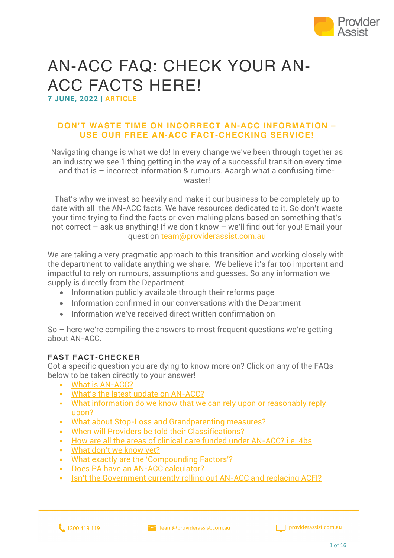

# AN-ACC FAQ: CHECK YOUR AN-ACC FACTS HERE!

**7 JUNE, 2022 | ARTICLE**

#### **DON'T WASTE TIME ON INCORRECT AN-ACC INFORMATION – USE OUR FREE AN-ACC FACT-CHECKING SERVICE!**

Navigating change is what we do! In every change we've been through together as an industry we see 1 thing getting in the way of a successful transition every time and that is – incorrect information & rumours. Aaargh what a confusing timewaster!

That's why we invest so heavily and make it our business to be completely up to date with all the AN-ACC facts. We have resources dedicated to it. So don't waste your time trying to find the facts or even making plans based on something that's not correct – ask us anything! If we don't know – we'll find out for you! Email your question team@providerassist.com.au

We are taking a very pragmatic approach to this transition and working closely with the department to validate anything we share. We believe it's far too important and impactful to rely on rumours, assumptions and guesses. So any information we supply is directly from the Department:

- Information publicly available through their reforms page
- Information confirmed in our conversations with the Department
- Information we've received direct written confirmation on

So – here we're compiling the answers to most frequent questions we're getting about AN-ACC.

#### **FAST FACT-CHECKER**

Got a specific question you are dying to know more on? Click on any of the FAQs below to be taken directly to your answer!

- § What is AN-ACC?
- § What's the latest update on AN-ACC?
- What information do we know that we can rely upon or reasonably reply upon?
- § What about Stop-Loss and Grandparenting measures?
- § When will Providers be told their Classifications?
- § How are all the areas of clinical care funded under AN-ACC? i.e. 4bs
- § What don't we know yet?
- What exactly are the 'Compounding Factors'?
- § Does PA have an AN-ACC calculator?
- Isn't the Government currently rolling out AN-ACC and replacing ACFI?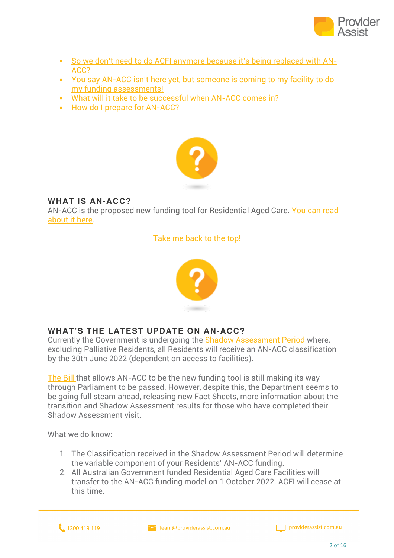

- § So we don't need to do ACFI anymore because it's being replaced with AN-ACC?
- § You say AN-ACC isn't here yet, but someone is coming to my facility to do my funding assessments!
- § What will it take to be successful when AN-ACC comes in?
- § How do I prepare for AN-ACC?



#### **WHAT IS AN-ACC?**

AN-ACC is the proposed new funding tool for Residential Aged Care. You can read about it here.

Take me back to the top!



### **WHAT'S THE LATEST UPDATE ON AN-ACC?**

Currently the Government is undergoing the Shadow Assessment Period where, excluding Palliative Residents, all Residents will receive an AN-ACC classification by the 30th June 2022 (dependent on access to facilities).

The Bill that allows AN-ACC to be the new funding tool is still making its way through Parliament to be passed. However, despite this, the Department seems to be going full steam ahead, releasing new Fact Sheets, more information about the transition and Shadow Assessment results for those who have completed their Shadow Assessment visit.

What we do know:

- 1. The Classification received in the Shadow Assessment Period will determine the variable component of your Residents' AN-ACC funding.
- 2. All Australian Government funded Residential Aged Care Facilities will transfer to the AN-ACC funding model on 1 October 2022. ACFI will cease at this time.

1300 419 119

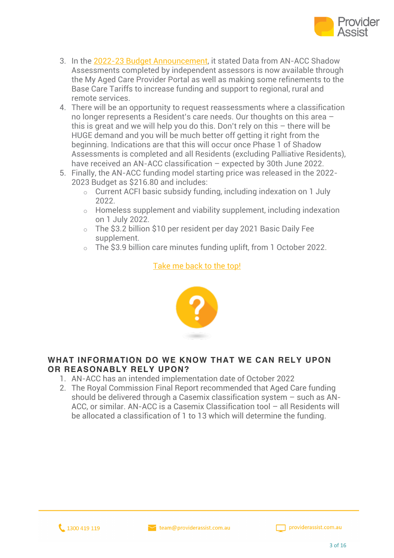

- 3. In the 2022-23 Budget Announcement, it stated Data from AN-ACC Shadow Assessments completed by independent assessors is now available through the My Aged Care Provider Portal as well as making some refinements to the Base Care Tariffs to increase funding and support to regional, rural and remote services.
- 4. There will be an opportunity to request reassessments where a classification no longer represents a Resident's care needs. Our thoughts on this area – this is great and we will help you do this. Don't rely on this – there will be HUGE demand and you will be much better off getting it right from the beginning. Indications are that this will occur once Phase 1 of Shadow Assessments is completed and all Residents (excluding Palliative Residents), have received an AN-ACC classification – expected by 30th June 2022.
- 5. Finally, the AN-ACC funding model starting price was released in the 2022- 2023 Budget as \$216.80 and includes:
	- o Current ACFI basic subsidy funding, including indexation on 1 July 2022.
	- o Homeless supplement and viability supplement, including indexation on 1 July 2022.
	- o The \$3.2 billion \$10 per resident per day 2021 Basic Daily Fee supplement.
	- o The \$3.9 billion care minutes funding uplift, from 1 October 2022.

#### Take me back to the top!



#### **WHAT INFORMATION DO WE KNOW THAT WE CAN RELY UPON OR REASONABLY RELY UPON?**

- 1. AN-ACC has an intended implementation date of October 2022
- 2. The Royal Commission Final Report recommended that Aged Care funding should be delivered through a Casemix classification system – such as AN-ACC, or similar. AN-ACC is a Casemix Classification tool – all Residents will be allocated a classification of 1 to 13 which will determine the funding.

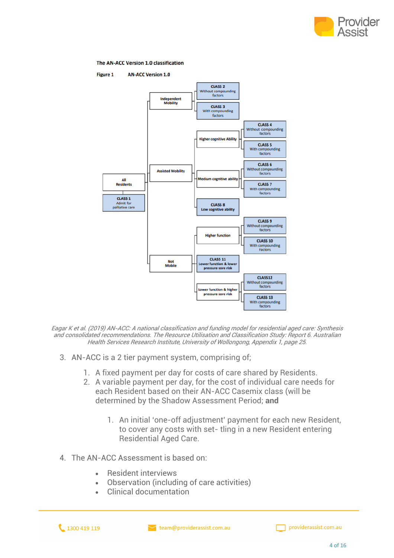

#### The AN-ACC Version 1.0 classification



Eagar K et al. (2019) AN-ACC: A national classification and funding model for residential aged care: Synthesis and consolidated recommendations. The Resource Utilisation and Classification Study: Report 6. Australian Health Services Research Institute, University of Wollongong, Appendix 1, page 25.

- 3. AN-ACC is a 2 tier payment system, comprising of;
	- 1. A fixed payment per day for costs of care shared by Residents.
	- 2. A variable payment per day, for the cost of individual care needs for each Resident based on their AN-ACC Casemix class (will be determined by the Shadow Assessment Period; **and**
		- 1. An initial 'one-off adjustment' payment for each new Resident, to cover any costs with set- tling in a new Resident entering Residential Aged Care.
- 4. The AN-ACC Assessment is based on:
	- Resident interviews
	- Observation (including of care activities)
	- Clinical documentation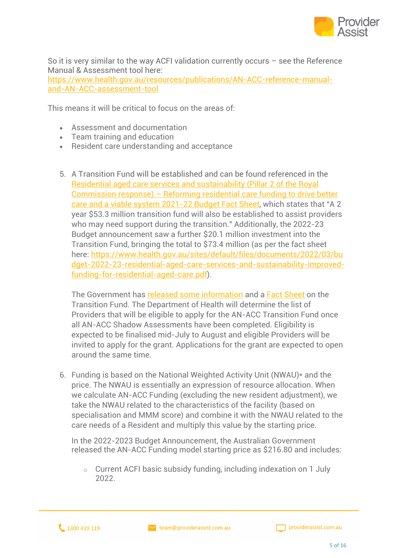

So it is very similar to the way ACFI validation currently occurs – see the Reference Manual & Assessment tool here: https://www.health.gov.au/resources/publications/AN-ACC-reference-manualand-AN-ACC-assessment-tool

This means it will be critical to focus on the areas of:

- Assessment and documentation
- Team training and education
- Resident care understanding and acceptance
- 5. A Transition Fund will be established and can be found referenced in the Residential aged care services and sustainability (Pillar 2 of the Royal Commission response) – Reforming residential care funding to drive better care and a viable system 2021-22 Budget Fact Sheet, which states that "A 2 year \$53.3 million transition fund will also be established to assist providers who may need support during the transition." Additionally, the 2022-23 Budget announcement saw a further \$20.1 million investment into the Transition Fund, bringing the total to \$73.4 million (as per the fact sheet here: https://www.health.gov.au/sites/default/files/documents/2022/03/bu dget-2022-23-residential-aged-care-services-and-sustainability-improvedfunding-for-residential-aged-care.pdf).

The Government has released some information and a Fact Sheet on the Transition Fund. The Department of Health will determine the list of Providers that will be eligible to apply for the AN-ACC Transition Fund once all AN-ACC Shadow Assessments have been completed. Eligibility is expected to be finalised mid-July to August and eligible Providers will be invited to apply for the grant. Applications for the grant are expected to open around the same time.

6. Funding is based on the National Weighted Activity Unit (NWAU)\* and the price. The NWAU is essentially an expression of resource allocation. When we calculate AN-ACC Funding (excluding the new resident adjustment), we take the NWAU related to the characteristics of the facility (based on specialisation and MMM score) and combine it with the NWAU related to the care needs of a Resident and multiply this value by the starting price.

In the 2022-2023 Budget Announcement, the Australian Government released the AN-ACC Funding model starting price as \$216.80 and includes:

o Current ACFI basic subsidy funding, including indexation on 1 July 2022.

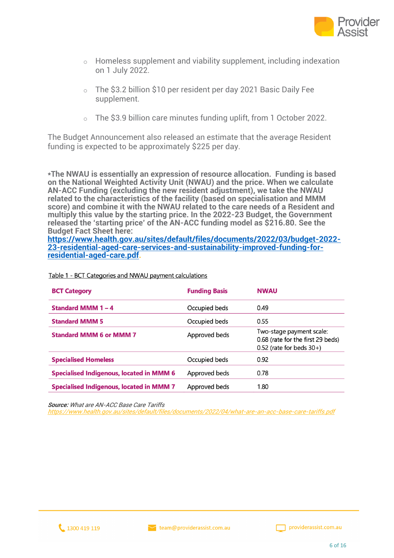

- o Homeless supplement and viability supplement, including indexation on 1 July 2022.
- o The \$3.2 billion \$10 per resident per day 2021 Basic Daily Fee supplement.
- o The \$3.9 billion care minutes funding uplift, from 1 October 2022.

The Budget Announcement also released an estimate that the average Resident funding is expected to be approximately \$225 per day.

**\*The NWAU is essentially an expression of resource allocation. Funding is based on the National Weighted Activity Unit (NWAU) and the price. When we calculate AN-ACC Funding (excluding the new resident adjustment), we take the NWAU related to the characteristics of the facility (based on specialisation and MMM score) and combine it with the NWAU related to the care needs of a Resident and multiply this value by the starting price. In the 2022-23 Budget, the Government released the 'starting price' of the AN-ACC funding model as \$216.80. See the Budget Fact Sheet here:**

**https://www.health.gov.au/sites/default/files/documents/2022/03/budget-2022- 23-residential-aged-care-services-and-sustainability-improved-funding-forresidential-aged-care.pdf.**

| <b>BCT Category</b>                             | <b>Funding Basis</b> | <b>NWAU</b>                                                                                   |
|-------------------------------------------------|----------------------|-----------------------------------------------------------------------------------------------|
| <b>Standard MMM 1-4</b>                         | Occupied beds        | 0.49                                                                                          |
| <b>Standard MMM 5</b>                           | Occupied beds        | 0.55                                                                                          |
| <b>Standard MMM 6 or MMM 7</b>                  | Approved beds        | Two-stage payment scale:<br>0.68 (rate for the first 29 beds)<br>$0.52$ (rate for beds $30+)$ |
| <b>Specialised Homeless</b>                     | Occupied beds        | 0.92                                                                                          |
| <b>Specialised Indigenous, located in MMM 6</b> | Approved beds        | 0.78                                                                                          |
| <b>Specialised Indigenous, located in MMM 7</b> | Approved beds        | 1.80                                                                                          |

Table 1 - BCT Categories and NWAU payment calculations

**Source:** What are AN-ACC Base Care Tariffs

https://www.health.gov.au/sites/default/files/documents/2022/04/what-are-an-acc-base-care-tariffs.pdf



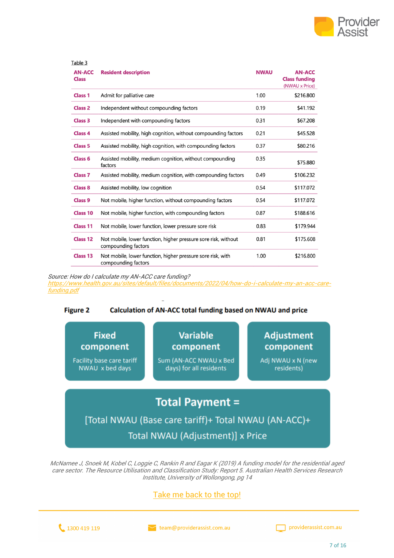

| Table 3                       |                                                                                       |             |                                                         |
|-------------------------------|---------------------------------------------------------------------------------------|-------------|---------------------------------------------------------|
| <b>AN-ACC</b><br><b>Class</b> | <b>Resident description</b>                                                           | <b>NWAU</b> | <b>AN-ACC</b><br><b>Class funding</b><br>(NWAU x Price) |
| <b>Class 1</b>                | Admit for palliative care                                                             | 1.00        | \$216.800                                               |
| <b>Class 2</b>                | Independent without compounding factors                                               | 0.19        | \$41.192                                                |
| <b>Class 3</b>                | Independent with compounding factors                                                  | 0.31        | \$67.208                                                |
| <b>Class 4</b>                | Assisted mobility, high cognition, without compounding factors                        | 0.21        | \$45.528                                                |
| <b>Class 5</b>                | Assisted mobility, high cognition, with compounding factors                           | 0.37        | \$80.216                                                |
| <b>Class 6</b>                | Assisted mobility, medium cognition, without compounding<br>factors                   | 0.35        | \$75.880                                                |
| <b>Class 7</b>                | Assisted mobility, medium cognition, with compounding factors                         | 0.49        | \$106.232                                               |
| <b>Class 8</b>                | Assisted mobility, low cognition                                                      | 0.54        | \$117.072                                               |
| <b>Class 9</b>                | Not mobile, higher function, without compounding factors                              | 0.54        | \$117.072                                               |
| <b>Class 10</b>               | Not mobile, higher function, with compounding factors                                 | 0.87        | \$188.616                                               |
| <b>Class 11</b>               | Not mobile, lower function, lower pressure sore risk                                  | 0.83        | \$179.944                                               |
| Class 12                      | Not mobile, lower function, higher pressure sore risk, without<br>compounding factors | 0.81        | \$175.608                                               |
| Class 13                      | Not mobile, lower function, higher pressure sore risk, with<br>compounding factors    | 1.00        | \$216.800                                               |

Source: How do I calculate my AN-ACC care funding?

https://www.health.gov.au/sites/default/files/documents/2022/04/how-do-i-calculate-my-an-acc-carefunding.pdf

#### Calculation of AN-ACC total funding based on NWAU and price **Figure 2**

**Fixed** component

**Facility base care tariff** NWAU x bed days

**Variable** component

Sum (AN-ACC NWAU x Bed days) for all residents

**Adjustment** component

Adj NWAU x N (new residents)

## **Total Payment =**

[Total NWAU (Base care tariff)+ Total NWAU (AN-ACC)+ Total NWAU (Adjustment)] x Price

McNamee J, Snoek M, Kobel C, Loggie C, Rankin R and Eagar K (2019) A funding model for the residential aged care sector. The Resource Utilisation and Classification Study: Report 5. Australian Health Services Research Institute, University of Wollongong, pg 14



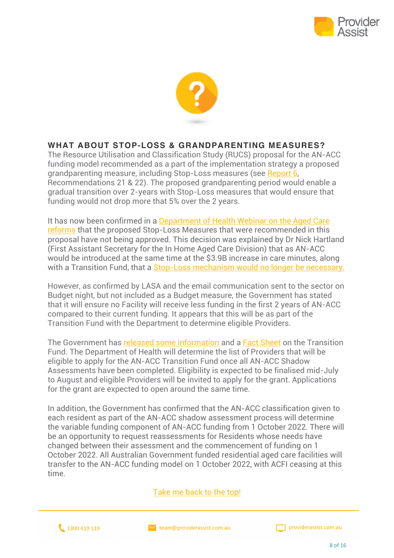



#### **WHAT ABOUT STOP-LOSS & GRANDPARENTING MEASURES?**

The Resource Utilisation and Classification Study (RUCS) proposal for the AN-ACC funding model recommended as a part of the implementation strategy a proposed grandparenting measure, including Stop-Loss measures (see Report 6, Recommendations 21 & 22). The proposed grandparenting period would enable a gradual transition over 2-years with Stop-Loss measures that would ensure that funding would not drop more that 5% over the 2 years.

It has now been confirmed in a Department of Health Webinar on the Aged Care reforms that the proposed Stop-Loss Measures that were recommended in this proposal have not being approved. This decision was explained by Dr Nick Hartland (First Assistant Secretary for the In Home Aged Care Division) that as AN-ACC would be introduced at the same time at the \$3.9B increase in care minutes, along with a Transition Fund, that a Stop-Loss mechanism would no longer be necessary.

However, as confirmed by LASA and the email communication sent to the sector on Budget night, but not included as a Budget measure, the Government has stated that it will ensure no Facility will receive less funding in the first 2 years of AN-ACC compared to their current funding. It appears that this will be as part of the Transition Fund with the Department to determine eligible Providers.

The Government has released some information and a **Fact Sheet** on the Transition Fund. The Department of Health will determine the list of Providers that will be eligible to apply for the AN-ACC Transition Fund once all AN-ACC Shadow Assessments have been completed. Eligibility is expected to be finalised mid-July to August and eligible Providers will be invited to apply for the grant. Applications for the grant are expected to open around the same time.

In addition, the Government has confirmed that the AN-ACC classification given to each resident as part of the AN-ACC shadow assessment process will determine the variable funding component of AN-ACC funding from 1 October 2022. There will be an opportunity to request reassessments for Residents whose needs have changed between their assessment and the commencement of funding on 1 October 2022. All Australian Government funded residential aged care facilities will transfer to the AN-ACC funding model on 1 October 2022, with ACFI ceasing at this time.

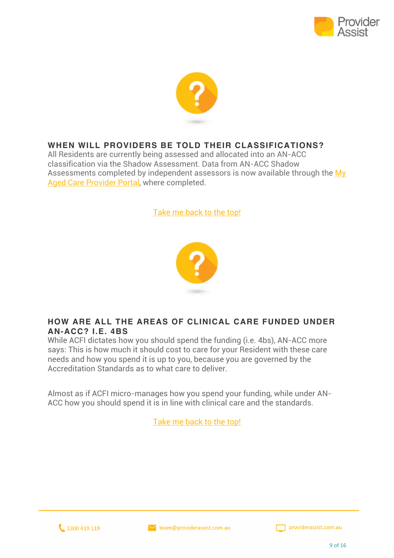



#### **WHEN WILL PROVIDERS BE TOLD THEIR CLASSIFICATIONS?**

All Residents are currently being assessed and allocated into an AN-ACC classification via the Shadow Assessment. Data from AN-ACC Shadow Assessments completed by independent assessors is now available through the My Aged Care Provider Portal, where completed.

Take me back to the top!



#### **HOW ARE ALL THE AREAS OF CLINICAL CARE FUNDED UNDER AN-ACC? I.E. 4BS**

While ACFI dictates how you should spend the funding (i.e. 4bs), AN-ACC more says: This is how much it should cost to care for your Resident with these care needs and how you spend it is up to you, because you are governed by the Accreditation Standards as to what care to deliver.

Almost as if ACFI micro-manages how you spend your funding, while under AN-ACC how you should spend it is in line with clinical care and the standards.



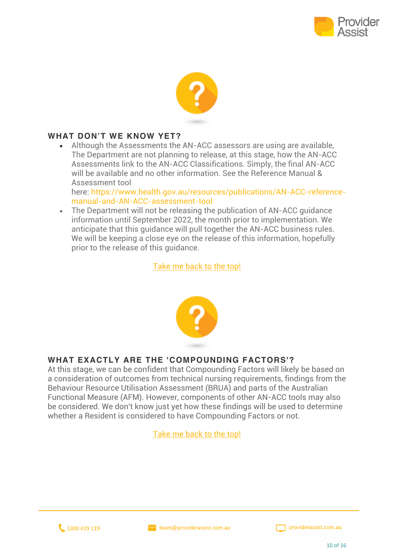



#### **WHAT DON'T WE KNOW YET?**

• Although the Assessments the AN-ACC assessors are using are available, The Department are not planning to release, at this stage, how the AN-ACC Assessments link to the AN-ACC Classifications. Simply, the final AN-ACC will be available and no other information. See the Reference Manual & Assessment tool

here: https://www.health.gov.au/resources/publications/AN-ACC-referencemanual-and-AN-ACC-assessment-tool

• The Department will not be releasing the publication of AN-ACC quidance information until September 2022, the month prior to implementation. We anticipate that this guidance will pull together the AN-ACC business rules. We will be keeping a close eye on the release of this information, hopefully prior to the release of this guidance.

Take me back to the top!



#### **WHAT EXACTLY ARE THE 'COMPOUNDING FACTORS'?**

At this stage, we can be confident that Compounding Factors will likely be based on a consideration of outcomes from technical nursing requirements, findings from the Behaviour Resource Utilisation Assessment (BRUA) and parts of the Australian Functional Measure (AFM). However, components of other AN-ACC tools may also be considered. We don't know just yet how these findings will be used to determine whether a Resident is considered to have Compounding Factors or not.



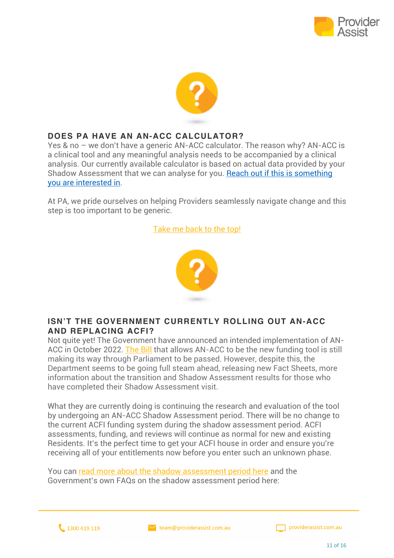



#### **DOES PA HAVE AN AN-ACC CALCULATOR?**

Yes & no – we don't have a generic AN-ACC calculator. The reason why? AN-ACC is a clinical tool and any meaningful analysis needs to be accompanied by a clinical analysis. Our currently available calculator is based on actual data provided by your Shadow Assessment that we can analyse for you. Reach out if this is something you are interested in.

At PA, we pride ourselves on helping Providers seamlessly navigate change and this step is too important to be generic.

#### Take me back to the top!



#### **ISN'T THE GOVERNMENT CURRENTLY ROLLING OUT AN-ACC AND REPLACING ACFI?**

Not quite yet! The Government have announced an intended implementation of AN-ACC in October 2022. The Bill that allows AN-ACC to be the new funding tool is still making its way through Parliament to be passed. However, despite this, the Department seems to be going full steam ahead, releasing new Fact Sheets, more information about the transition and Shadow Assessment results for those who have completed their Shadow Assessment visit.

What they are currently doing is continuing the research and evaluation of the tool by undergoing an AN-ACC Shadow Assessment period. There will be no change to the current ACFI funding system during the shadow assessment period. ACFI assessments, funding, and reviews will continue as normal for new and existing Residents. It's the perfect time to get your ACFI house in order and ensure you're receiving all of your entitlements now before you enter such an unknown phase.

You can read more about the shadow assessment period here and the Government's own FAQs on the shadow assessment period here:

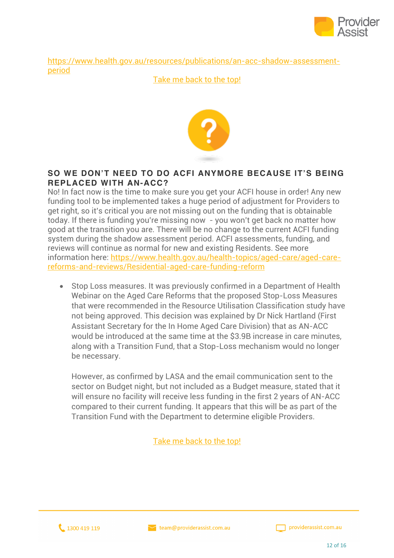

https://www.health.gov.au/resources/publications/an-acc-shadow-assessmentperiod

#### Take me back to the top!



#### **SO WE DON'T NEED TO DO ACFI ANYMORE BECAUSE IT'S BEING REPLACED WITH AN-ACC?**

No! In fact now is the time to make sure you get your ACFI house in order! Any new funding tool to be implemented takes a huge period of adjustment for Providers to get right, so it's critical you are not missing out on the funding that is obtainable today. If there is funding you're missing now - you won't get back no matter how good at the transition you are. There will be no change to the current ACFI funding system during the shadow assessment period. ACFI assessments, funding, and reviews will continue as normal for new and existing Residents. See more information here: https://www.health.gov.au/health-topics/aged-care/aged-carereforms-and-reviews/Residential-aged-care-funding-reform

• Stop Loss measures. It was previously confirmed in a Department of Health Webinar on the Aged Care Reforms that the proposed Stop-Loss Measures that were recommended in the Resource Utilisation Classification study have not being approved. This decision was explained by Dr Nick Hartland (First Assistant Secretary for the In Home Aged Care Division) that as AN-ACC would be introduced at the same time at the \$3.9B increase in care minutes, along with a Transition Fund, that a Stop-Loss mechanism would no longer be necessary.

However, as confirmed by LASA and the email communication sent to the sector on Budget night, but not included as a Budget measure, stated that it will ensure no facility will receive less funding in the first 2 years of AN-ACC compared to their current funding. It appears that this will be as part of the Transition Fund with the Department to determine eligible Providers.



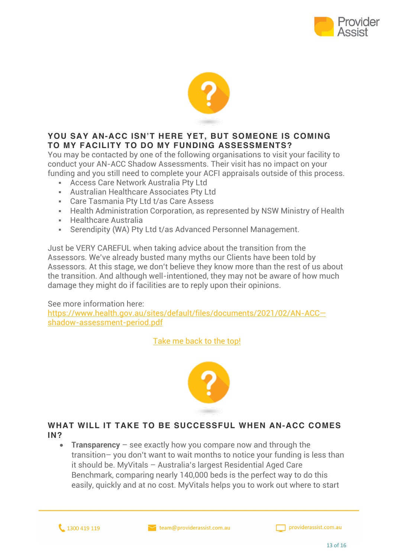



#### **YOU SAY AN-ACC ISN'T HERE YET, BUT SOMEONE IS COMING TO MY FACILITY TO DO MY FUNDING ASSESSMENTS?**

You may be contacted by one of the following organisations to visit your facility to conduct your AN-ACC Shadow Assessments. Their visit has no impact on your funding and you still need to complete your ACFI appraisals outside of this process.

- **EX Access Care Network Australia Pty Ltd**
- § Australian Healthcare Associates Pty Ltd
- Care Tasmania Pty Ltd t/as Care Assess
- Health Administration Corporation, as represented by NSW Ministry of Health
- § Healthcare Australia
- Serendipity (WA) Pty Ltd t/as Advanced Personnel Management.

Just be VERY CAREFUL when taking advice about the transition from the Assessors. We've already busted many myths our Clients have been told by Assessors. At this stage, we don't believe they know more than the rest of us about the transition. And although well-intentioned, they may not be aware of how much damage they might do if facilities are to reply upon their opinions.

#### See more information here:

https://www.health.gov.au/sites/default/files/documents/2021/02/AN-ACC shadow-assessment-period.pdf

Take me back to the top!



#### **WHAT WILL IT TAKE TO BE SUCCESSFUL WHEN AN-ACC COMES IN?**

**Transparency** – see exactly how you compare now and through the transition– you don't want to wait months to notice your funding is less than it should be. MyVitals – Australia's largest Residential Aged Care Benchmark, comparing nearly 140,000 beds is the perfect way to do this easily, quickly and at no cost. MyVitals helps you to work out where to start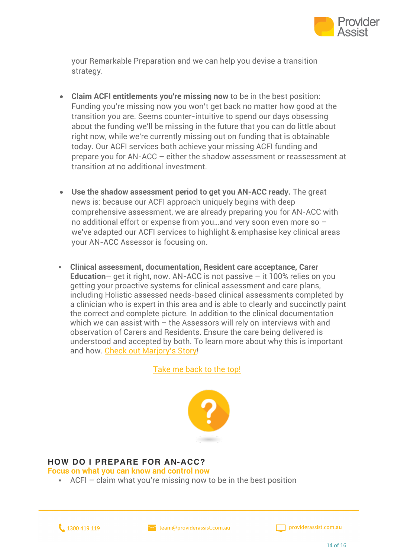

your Remarkable Preparation and we can help you devise a transition strategy.

- **Claim ACFI entitlements you're missing now** to be in the best position: Funding you're missing now you won't get back no matter how good at the transition you are. Seems counter-intuitive to spend our days obsessing about the funding we'll be missing in the future that you can do little about right now, while we're currently missing out on funding that is obtainable today. Our ACFI services both achieve your missing ACFI funding and prepare you for AN-ACC – either the shadow assessment or reassessment at transition at no additional investment.
- **Use the shadow assessment period to get you AN-ACC ready.** The great news is: because our ACFI approach uniquely begins with deep comprehensive assessment, we are already preparing you for AN-ACC with no additional effort or expense from you…and very soon even more so – we've adapted our ACFI services to highlight & emphasise key clinical areas your AN-ACC Assessor is focusing on.
- § **Clinical assessment, documentation, Resident care acceptance, Carer Education**– get it right, now. AN-ACC is not passive – it 100% relies on you getting your proactive systems for clinical assessment and care plans, including Holistic assessed needs-based clinical assessments completed by a clinician who is expert in this area and is able to clearly and succinctly paint the correct and complete picture. In addition to the clinical documentation which we can assist with – the Assessors will rely on interviews with and observation of Carers and Residents. Ensure the care being delivered is understood and accepted by both. To learn more about why this is important and how. Check out Marjory's Story!

Take me back to the top!



#### **HOW DO I PREPARE FOR AN-ACC?**

**Focus on what you can know and control now**

 $\blacksquare$  ACFI – claim what you're missing now to be in the best position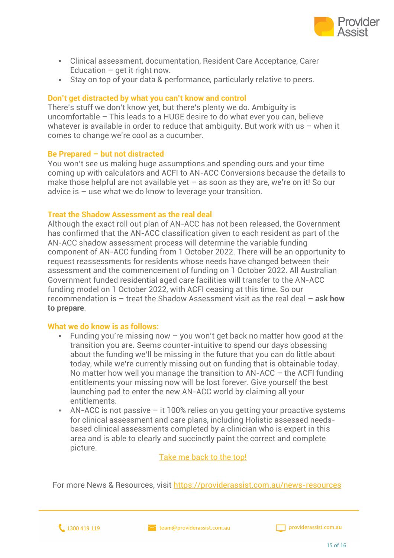

- § Clinical assessment, documentation, Resident Care Acceptance, Carer Education  $-$  get it right now.
- Stay on top of your data & performance, particularly relative to peers.

#### **Don't get distracted by what you can't know and control**

There's stuff we don't know yet, but there's plenty we do. Ambiguity is uncomfortable – This leads to a HUGE desire to do what ever you can, believe whatever is available in order to reduce that ambiguity. But work with us – when it comes to change we're cool as a cucumber.

#### **Be Prepared – but not distracted**

You won't see us making huge assumptions and spending ours and your time coming up with calculators and ACFI to AN-ACC Conversions because the details to make those helpful are not available yet  $-$  as soon as they are, we're on it! So our advice is – use what we do know to leverage your transition.

#### **Treat the Shadow Assessment as the real deal**

Although the exact roll out plan of AN-ACC has not been released, the Government has confirmed that the AN-ACC classification given to each resident as part of the AN-ACC shadow assessment process will determine the variable funding component of AN-ACC funding from 1 October 2022. There will be an opportunity to request reassessments for residents whose needs have changed between their assessment and the commencement of funding on 1 October 2022. All Australian Government funded residential aged care facilities will transfer to the AN-ACC funding model on 1 October 2022, with ACFI ceasing at this time. So our recommendation is – treat the Shadow Assessment visit as the real deal – **ask how to prepare**.

#### **What we do know is as follows:**

- Funding you're missing now  $-$  you won't get back no matter how good at the transition you are. Seems counter-intuitive to spend our days obsessing about the funding we'll be missing in the future that you can do little about today, while we're currently missing out on funding that is obtainable today. No matter how well you manage the transition to AN-ACC – the ACFI funding entitlements your missing now will be lost forever. Give yourself the best launching pad to enter the new AN-ACC world by claiming all your entitlements.
- $\Delta$ N-ACC is not passive it 100% relies on you getting your proactive systems for clinical assessment and care plans, including Holistic assessed needsbased clinical assessments completed by a clinician who is expert in this area and is able to clearly and succinctly paint the correct and complete picture.

Take me back to the top!

For more News & Resources, visit https://providerassist.com.au/news-resources